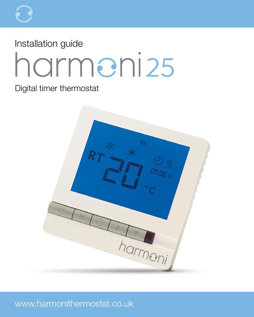# Installation guide harmeni25

#### Digital timer thermostat

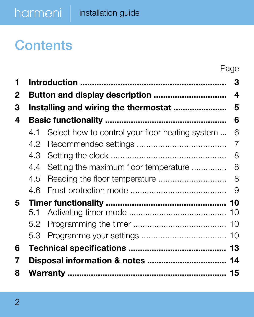### **Contents**

|   |     |                                                 | Page |  |  |
|---|-----|-------------------------------------------------|------|--|--|
| 1 |     |                                                 | 3    |  |  |
| 2 |     |                                                 |      |  |  |
| 3 |     |                                                 |      |  |  |
| 4 |     |                                                 | 6    |  |  |
|   | 4.1 | Select how to control your floor heating system | 6    |  |  |
|   | 4.2 |                                                 | 7    |  |  |
|   | 4.3 |                                                 | 8    |  |  |
|   | 4.4 | Setting the maximum floor temperature           | 8    |  |  |
|   | 4.5 |                                                 | 8    |  |  |
|   | 4.6 |                                                 |      |  |  |
| 5 |     |                                                 |      |  |  |
|   | 5.1 |                                                 |      |  |  |
|   | 5.2 |                                                 |      |  |  |
|   | 5.3 |                                                 |      |  |  |
| 6 |     |                                                 |      |  |  |
| 7 |     |                                                 |      |  |  |
| 8 |     |                                                 |      |  |  |
|   |     |                                                 |      |  |  |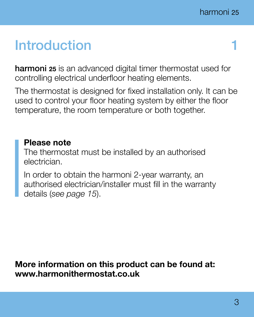### **Introduction**

harmoni 25 is an advanced digital timer thermostat used for controlling electrical underfloor heating elements.

The thermostat is designed for fixed installation only. It can be used to control your floor heating system by either the floor temperature, the room temperature or both together.

#### Please note

The thermostat must be installed by an authorised electrician.

In order to obtain the harmoni 2-year warranty, an authorised electrician/installer must fill in the warranty details (*see page 15*).

More information on this product can be found at: www.harmonithermostat.co.uk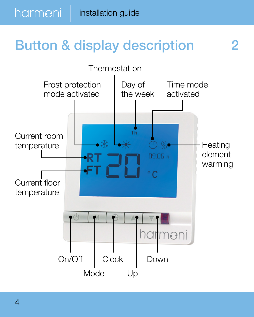## Button & display description 2

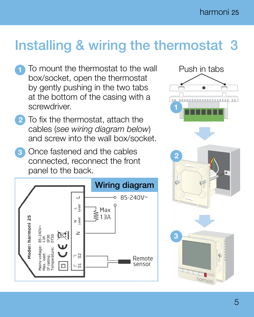### Installing & wiring the thermostat 3

- To mount the thermostat to the wall box/socket, open the thermostat by gently pushing in the two tabs at the bottom of the casing with a screwdriver.
- 2 To fix the thermostat, attach the cables (*see wiring diagram below*) and screw into the wall box/socket.
- **3** Once fastened and the cables connected, reconnect the front panel to the back.





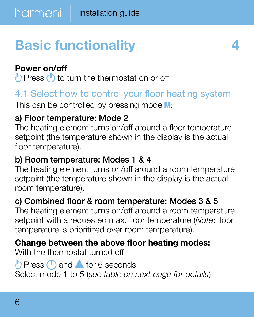# Basic functionality 4

#### Power on/off

 $\binom{h}{h}$  Press  $\binom{h}{h}$  to turn the thermostat on or off

#### 4.1 Select how to control your floor heating system

This can be controlled by pressing mode  $M$ :

#### a) Floor temperature: Mode 2

The heating element turns on/off around a floor temperature setpoint (the temperature shown in the display is the actual floor temperature).

#### b) Room temperature: Modes 1 & 4

The heating element turns on/off around a room temperature setpoint (the temperature shown in the display is the actual room temperature).

#### c) Combined floor & room temperature: Modes 3 & 5

The heating element turns on/off around a room temperature setpoint with a requested max. floor temperature (*Note*: floor temperature is prioritized over room temperature).

#### Change between the above floor heating modes:

With the thermostat turned off.

#### $\binom{h}{1}$  Press  $\binom{n}{1}$  and  $\blacktriangle$  for 6 seconds Select mode 1 to 5 (*see table on next page for details*)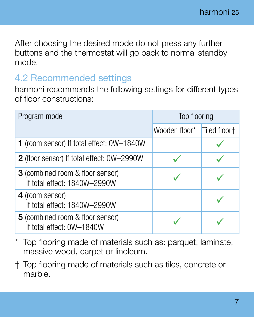After choosing the desired mode do not press any further buttons and the thermostat will go back to normal standby mode.

#### 4.2 Recommended settings

harmoni recommends the following settings for different types of floor constructions:

| Program mode                                                            | Top flooring  |              |
|-------------------------------------------------------------------------|---------------|--------------|
|                                                                         | Wooden floor* | Tiled floor+ |
| 1 (room sensor) If total effect: 0W-1840W                               |               |              |
| 2 (floor sensor) If total effect: 0W-2990W                              |               |              |
| <b>3</b> (combined room & floor sensor)<br>If total effect: 1840W-2990W |               |              |
| 4 (room sensor)<br>If total effect: 1840W-2990W                         |               |              |
| 5 (combined room & floor sensor)<br>If total effect: 0W-1840W           |               |              |

- Top flooring made of materials such as: parquet, laminate, massive wood, carpet or linoleum.
- † Top flooring made of materials such as tiles, concrete or marble.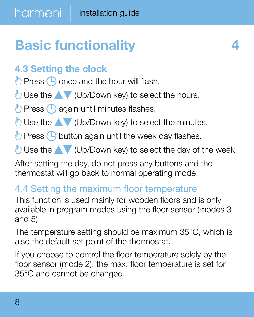# Basic functionality **4**

#### 4.3 Setting the clock

 $\binom{h}{b}$  Press  $\binom{n}{b}$  once and the hour will flash.

 $\binom{h}{h}$  Use the  $\blacktriangle$  (Up/Down key) to select the hours.

 $\binom{h}{h}$  Press  $\binom{n}{h}$  again until minutes flashes.

 $\mathbb{D}$  Use the  $\blacktriangle\blacktriangledown$  (Up/Down key) to select the minutes.

 $\binom{b}{b}$  Press  $\binom{c}{b}$  button again until the week day flashes.

 $\mathbb{P}$  Use the  $\blacktriangle\blacktriangledown$  (Up/Down key) to select the day of the week.

After setting the day, do not press any buttons and the thermostat will go back to normal operating mode.

#### 4.4 Setting the maximum floor temperature

This function is used mainly for wooden floors and is only available in program modes using the floor sensor (modes 3 and 5)

The temperature setting should be maximum 35°C, which is also the default set point of the thermostat.

If you choose to control the floor temperature solely by the floor sensor (mode 2), the max. floor temperature is set for 35°C and cannot be changed.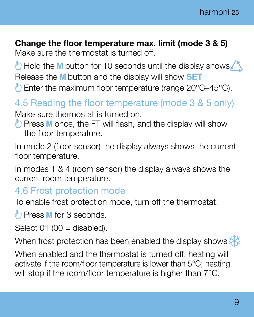#### Change the floor temperature max. limit (mode 3 & 5)

Make sure the thermostat is turned off.

 $\binom{b}{b}$  Hold the **M** button for 10 seconds until the display shows  $\binom{b}{b}$ Release the M button and the display will show **SET** 

**Enter the maximum floor temperature (range 20°C–45°C).** 

#### 4.5 Reading the floor temperature (mode 3 & 5 only) Make sure thermostat is turned on.

 $\binom{ln}{n}$  Press M once, the FT will flash, and the display will show the floor temperature.

In mode 2 (floor sensor) the display always shows the current floor temperature.

In modes 1 & 4 (room sensor) the display always shows the current room temperature.

#### 4.6 Frost protection mode

To enable frost protection mode, turn off the thermostat.

 $\binom{h}{r}$  Press **M** for 3 seconds.

Select  $01$  (00 = disabled).

When frost protection has been enabled the display shows  $\frac{1}{2}$ 

When enabled and the thermostat is turned off, heating will activate if the room/floor temperature is lower than 5°C; heating will stop if the room/floor temperature is higher than  $7^{\circ}$ C.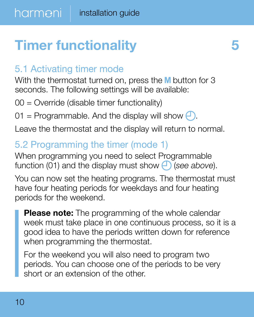# **Timer functionality 5**

#### 5.1 Activating timer mode

With the thermostat turned on, press the M button for 3 seconds. The following settings will be available:

 $00 =$  Override (disable timer functionality)

01 = Programmable. And the display will show  $\bigoplus$ .

Leave the thermostat and the display will return to normal.

#### 5.2 Programming the timer (mode 1)

When programming you need to select Programmable function (01) and the display must show  $\bigoplus$  (see above).

You can now set the heating programs. The thermostat must have four heating periods for weekdays and four heating periods for the weekend.

**Please note:** The programming of the whole calendar week must take place in one continuous process, so it is a good idea to have the periods written down for reference when programming the thermostat.

For the weekend you will also need to program two periods. You can choose one of the periods to be very short or an extension of the other.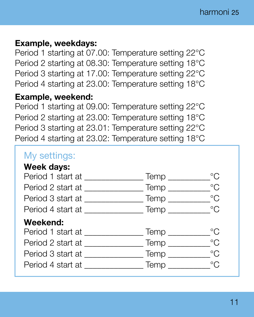#### Example, weekdays:

Period 1 starting at 07.00: Temperature setting 22°C Period 2 starting at 08.30: Temperature setting 18°C Period 3 starting at 17.00: Temperature setting 22°C Period 4 starting at 23.00: Temperature setting 18°C

#### Example, weekend:

Period 1 starting at 09.00: Temperature setting 22°C Period 2 starting at 23.00: Temperature setting 18°C Period 3 starting at 23.01: Temperature setting 22°C Period 4 starting at 23.02: Temperature setting 18°C

#### My settings:

#### Week days: Period 1 start at \_\_\_\_\_\_\_\_\_\_\_\_\_\_\_\_\_Temp \_\_\_\_\_\_\_\_\_\_\_\_°C Period 2 start at \_\_\_\_\_\_\_\_\_\_\_\_\_\_ Temp \_\_\_\_\_\_\_\_\_\_°C Period 3 start at \_\_\_\_\_\_\_\_\_\_\_\_\_\_ Temp \_\_\_\_\_\_\_\_\_\_°C Period 4 start at \_\_\_\_\_\_\_\_\_\_\_\_\_\_ Temp \_\_\_\_\_\_\_\_\_\_°C Weekend: Period 1 start at \_\_\_\_\_\_\_\_\_\_\_\_\_\_ Temp \_\_\_\_\_\_\_\_\_\_°C Period 2 start at \_\_\_\_\_\_\_\_\_\_\_\_\_\_ Temp \_\_\_\_\_\_\_\_\_\_°C Period 3 start at \_\_\_\_\_\_\_\_\_\_\_\_\_\_ Temp \_\_\_\_\_\_\_\_\_\_°C Period 4 start at \_\_\_\_\_\_\_\_\_\_\_\_\_\_ Temp \_\_\_\_\_\_\_\_\_\_°C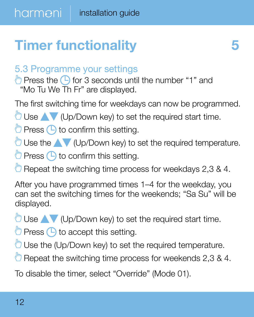# **Timer functionality 5**

#### 5.3 Programme your settings

 $\binom{b}{b}$  Press the  $\binom{c}{b}$  for 3 seconds until the number "1" and "Mo Tu We Th Fr" are displayed.

The first switching time for weekdays can now be programmed.

 $\Box$  Use  $\blacktriangle$  (Up/Down key) to set the required start time.

 $\Box$  Press  $\Box$  to confirm this setting.

 $\binom{m}{k}$  Use the  $\blacktriangle$  (Up/Down key) to set the required temperature.

 $\binom{b}{b}$  Press  $\binom{c}{b}$  to confirm this setting.

 $\Box$  Repeat the switching time process for weekdays 2,3 & 4.

After you have programmed times 1–4 for the weekday, you can set the switching times for the weekends; "Sa Su" will be displayed.

 $\Box$  Use  $\blacktriangle$  (Up/Down key) to set the required start time.

 $\Box$  Press  $\Box$  to accept this setting.

Use the (Up/Down key) to set the required temperature.

 $\binom{m}{n}$  Repeat the switching time process for weekends 2,3 & 4.

To disable the timer, select "Override" (Mode 01).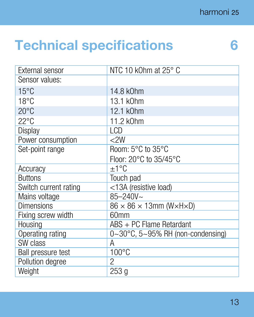### Technical specifications 6

| External sensor           | NTC 10 k0hm at 25° C                                     |  |  |
|---------------------------|----------------------------------------------------------|--|--|
| Sensor values:            |                                                          |  |  |
| $15^{\circ}$ C            | 14.8 k0hm                                                |  |  |
| $18^{\circ}$ C            | 13.1 k0hm                                                |  |  |
| $20^{\circ}$ C            | 12.1 k0hm                                                |  |  |
| 22°C                      | 11.2 k0hm                                                |  |  |
| Display                   | LCD                                                      |  |  |
| Power consumption         | < 2W                                                     |  |  |
| Set-point range           | Room: 5°C to 35°C                                        |  |  |
|                           | Floor: 20°C to 35/45°C                                   |  |  |
| Accuracy                  | $+1^{\circ}$ C                                           |  |  |
| <b>Buttons</b>            | Touch pad                                                |  |  |
| Switch current rating     | <13A (resistive load)                                    |  |  |
| Mains voltage             | $85 - 240V$ ~                                            |  |  |
| Dimensions                | $86 \times 86 \times 13$ mm (W $\times$ H $\times$ D)    |  |  |
| Fixing screw width        | 60mm                                                     |  |  |
| Housing                   | ABS + PC Flame Retardant                                 |  |  |
| Operating rating          | $0 \sim 30^{\circ}$ C, $5 \sim 95\%$ RH (non-condensing) |  |  |
| SW class                  | Α                                                        |  |  |
| <b>Ball pressure test</b> | $100^{\circ}$ C                                          |  |  |
| Pollution degree          | 2                                                        |  |  |
| Weight                    | 253 q                                                    |  |  |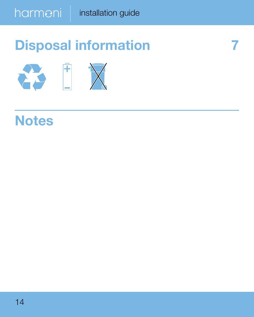## Disposal information 7



### **Notes**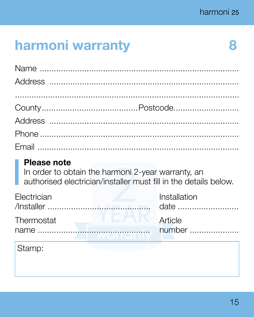8

### harmoni warranty

#### Please note

In order to obtain the harmoni 2-year warranty, an authorised electrician/installer must fill in the details below.

| Electrician | Installation                |        |
|-------------|-----------------------------|--------|
| Thermostat  | <b>Example 2018 Article</b> |        |
|             |                             | number |

| ram<br>н |
|----------|
|----------|